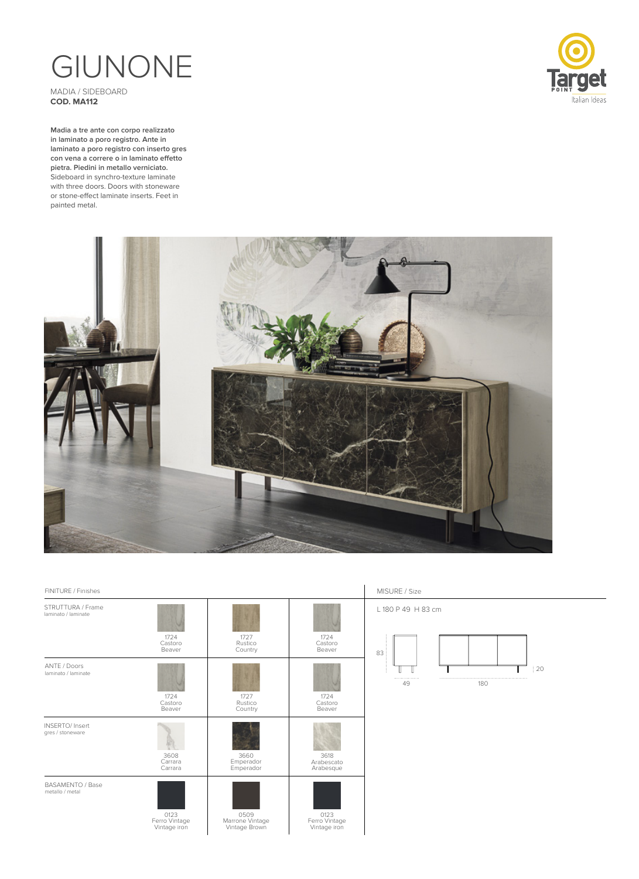## GIUNONE MADIA / SIDEBOARD

**COD. MA112**

**Madia a tre ante con corpo realizzato in laminato a poro registro. Ante in laminato a poro registro con inserto gres con vena a correre o in laminato effetto pietra. Piedini in metallo verniciato.** Sideboard in synchro-texture laminate with three doors. Doors with stoneware or stone-effect laminate inserts. Feet in painted metal.